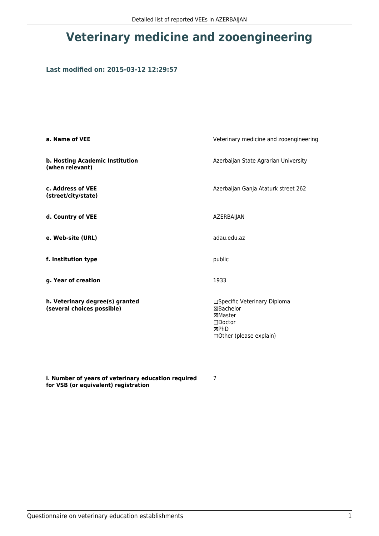## **Veterinary medicine and zooengineering**

## **Last modified on: 2015-03-12 12:29:57**

| a. Name of VEE                                                | Veterinary medicine and zooengineering                                                                            |  |
|---------------------------------------------------------------|-------------------------------------------------------------------------------------------------------------------|--|
| b. Hosting Academic Institution<br>(when relevant)            | Azerbaijan State Agrarian University                                                                              |  |
| c. Address of VEE<br>(street/city/state)                      | Azerbaijan Ganja Ataturk street 262                                                                               |  |
| d. Country of VEE                                             | AZERBAIJAN                                                                                                        |  |
| e. Web-site (URL)                                             | adau.edu.az                                                                                                       |  |
| f. Institution type                                           | public                                                                                                            |  |
| g. Year of creation                                           | 1933                                                                                                              |  |
| h. Veterinary degree(s) granted<br>(several choices possible) | □Specific Veterinary Diploma<br>⊠Bachelor<br>⊠Master<br>$\square$ Doctor<br>⊠PhD<br>$\Box$ Other (please explain) |  |

**i. Number of years of veterinary education required for VSB (or equivalent) registration**

7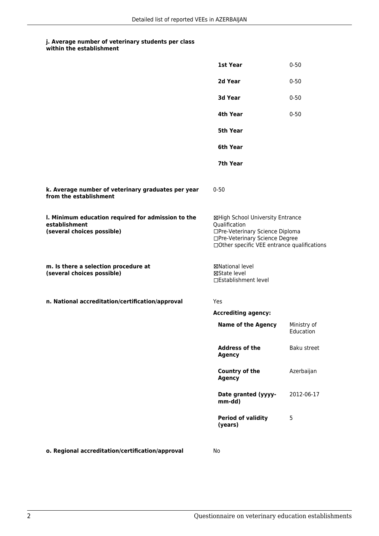## **j. Average number of veterinary students per class within the establishment**

|                                                                                                   | 1st Year                                                                                                                                                              | $0 - 50$                 |
|---------------------------------------------------------------------------------------------------|-----------------------------------------------------------------------------------------------------------------------------------------------------------------------|--------------------------|
|                                                                                                   | 2d Year                                                                                                                                                               | $0 - 50$                 |
|                                                                                                   | 3d Year                                                                                                                                                               | $0 - 50$                 |
|                                                                                                   | 4th Year                                                                                                                                                              | $0 - 50$                 |
|                                                                                                   | <b>5th Year</b>                                                                                                                                                       |                          |
|                                                                                                   | 6th Year                                                                                                                                                              |                          |
|                                                                                                   | 7th Year                                                                                                                                                              |                          |
| k. Average number of veterinary graduates per year<br>from the establishment                      | $0 - 50$                                                                                                                                                              |                          |
| I. Minimum education required for admission to the<br>establishment<br>(several choices possible) | ⊠High School University Entrance<br>Qualification<br>□Pre-Veterinary Science Diploma<br>□Pre-Veterinary Science Degree<br>□Other specific VEE entrance qualifications |                          |
| m. Is there a selection procedure at<br>(several choices possible)                                | ⊠National level<br>⊠State level<br>□Establishment level                                                                                                               |                          |
| n. National accreditation/certification/approval                                                  | Yes                                                                                                                                                                   |                          |
|                                                                                                   | <b>Accrediting agency:</b>                                                                                                                                            |                          |
|                                                                                                   | <b>Name of the Agency</b>                                                                                                                                             | Ministry of<br>Education |
|                                                                                                   | <b>Address of the</b><br><b>Agency</b>                                                                                                                                | Baku street              |
|                                                                                                   | <b>Country of the</b><br><b>Agency</b>                                                                                                                                | Azerbaijan               |
|                                                                                                   | Date granted (yyyy-<br>mm-dd)                                                                                                                                         | 2012-06-17               |
|                                                                                                   | <b>Period of validity</b><br>(years)                                                                                                                                  | 5                        |
| o. Regional accreditation/certification/approval                                                  | No                                                                                                                                                                    |                          |